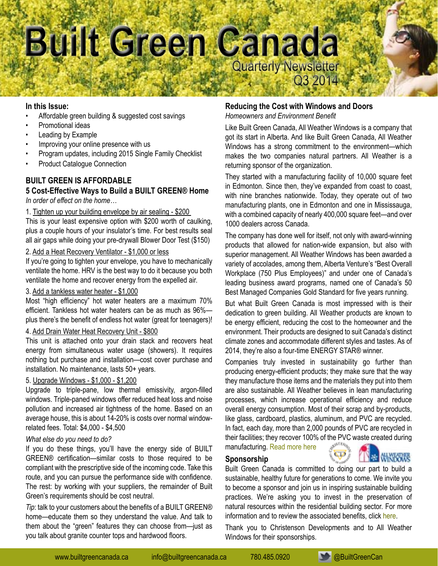

## **In this Issue:**

- Affordable green building & suggested cost savings
- Promotional ideas
- Leading by Example
- Improving your online presence with us
- Program updates, including 2015 Single Family Checklist
- Product Catalogue Connection

# **BUILT GREEN IS AFFORDABLE**

# **5 Cost-Effective Ways to Build a BUILT GREEN® Home** *In order of effect on the home…*

## 1. Tighten up your building envelope by air sealing - \$200

This is your least expensive option with \$200 worth of caulking, plus a couple hours of your insulator's time. For best results seal all air gaps while doing your pre-drywall Blower Door Test (\$150)

# 2. Add a Heat Recovery Ventilator - \$1,000 or less

If you're going to tighten your envelope, you have to mechanically ventilate the home. HRV is the best way to do it because you both ventilate the home and recover energy from the expelled air.

# 3. Add a tankless water heater - \$1,000

Most "high efficiency" hot water heaters are a maximum 70% efficient. Tankless hot water heaters can be as much as 96% plus there's the benefit of endless hot water (great for teenagers)!

### 4. Add Drain Water Heat Recovery Unit - \$800

This unit is attached onto your drain stack and recovers heat energy from simultaneous water usage (showers). It requires nothing but purchase and installation—cost cover purchase and installation. No maintenance, lasts 50+ years.

## 5. Upgrade Windows - \$1,000 - \$1,200

Upgrade to triple-pane, low thermal emissivity, argon-filled windows. Triple-paned windows offer reduced heat loss and noise pollution and increased air tightness of the home. Based on an average house, this is about 14-20% is costs over normal windowrelated fees. Total: \$4,000 - \$4,500

#### *What else do you need to do?*

If you do these things, you'll have the energy side of BUILT GREEN® certification—similar costs to those required to be compliant with the prescriptive side of the incoming code. Take this route, and you can pursue the performance side with confidence. The rest: by working with your suppliers, the remainder of Built Green's requirements should be cost neutral.

*Tip*: talk to your customers about the benefits of a BUILT GREEN® home—educate them so they understand the value. And talk to them about the "green" features they can choose from—just as you talk about granite counter tops and hardwood floors.

# **Reducing the Cost with Windows and Doors**

*Homeowners and Environment Benefit*

Like Built Green Canada, All Weather Windows is a company that got its start in Alberta. And like Built Green Canada, All Weather Windows has a strong commitment to the environment—which makes the two companies natural partners. All Weather is a returning sponsor of the organization.

They started with a manufacturing facility of 10,000 square feet in Edmonton. Since then, they've expanded from coast to coast, with nine branches nationwide. Today, they operate out of two manufacturing plants, one in Edmonton and one in Mississauga, with a combined capacity of nearly 400,000 square feet—and over 1000 dealers across Canada.

The company has done well for itself, not only with award-winning products that allowed for nation-wide expansion, but also with superior management. All Weather Windows has been awarded a variety of accolades, among them, Alberta Venture's "Best Overall Workplace (750 Plus Employees)" and under one of Canada's leading business award programs, named one of Canada's 50 Best Managed Companies Gold Standard for five years running.

But what Built Green Canada is most impressed with is their dedication to green building. All Weather products are known to be energy efficient, reducing the cost to the homeowner and the environment. Their products are designed to suit Canada's distinct climate zones and accommodate different styles and tastes. As of 2014, they're also a four-time ENERGY STAR® winner.

Companies truly invested in sustainability go further than producing energy-efficient products; they make sure that the way they manufacture those items and the materials they put into them are also sustainable. All Weather believes in lean manufacturing processes, which increase operational efficiency and reduce overall energy consumption. Most of their scrap and by-products, like glass, cardboard, plastics, aluminum, and PVC are recycled. In fact, each day, more than 2,000 pounds of PVC are recycled in their facilities; they recover 100% of [the PVC w](http://builtgreencanada.ca/christenson-developments?id=723)[aste created during](http://builtgreencanada.ca/all-weather-windows)  manufacturing. [Read more here](http://builtgreencanada.ca/reducing-the-cost-with-windows-and-doors?id=1456)

#### **Sponsorship**

Built Green Canada is committed to doing our part to build a sustainable, healthy future for generations to come. We invite you to become a sponsor and join us in inspiring sustainable building practices. We're asking you to invest in the preservation of natural resources within the residential building sector. For more information and to review the associated benefits, click [here.](http://builtgreencanada.ca/sponsorship-opportunities)

Thank you to Christenson Developments and to All Weather Windows for their sponsorships.

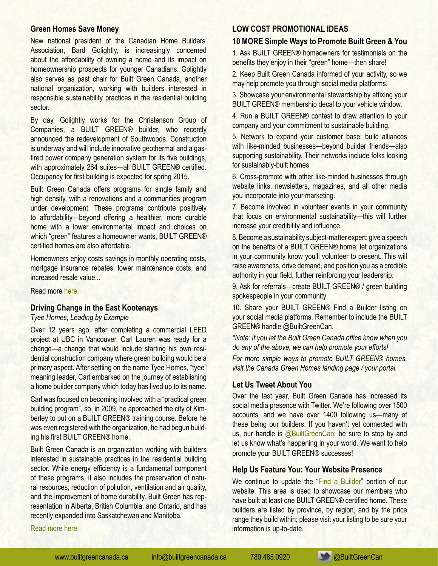# **[Green Homes Save Money](http://builtgreencanada.ca/green-homes-save-money?id=1456)**

New national president of the Canadian Home Builders' Association, Bard Golightly, is increasingly concerned about the affordability of owning a home and its impact on homeownership prospects for younger Canadians. Golightly also serves as past chair for Built Green Canada, another national organization, working with builders interested in responsible sustainability practices in the residential building sector.

By day, Golightly works for the Christenson Group of Companies, a BUILT GREEN® builder, who recently announced the redevelopment of Southwoods. Construction is underway and will include innovative geothermal and a gasfired power company generation system for its five buildings, with approximately 264 suites—all BUILT GREEN® certified. Occupancy for first building is expected for spring 2015.

Built Green Canada offers programs for single family and high density, with a renovations and a communities program under development. These programs contribute positively to affordability—beyond offering a healthier, more durable home with a lower environmental impact and choices on which "green" features a homeowner wants, BUILT GREEN® certified homes are also affordable.

Homeowners enjoy costs savings in monthly operating costs, mortgage insurance rebates, lower maintenance costs, and increased resale value...

Read more [here.](http://builtgreencanada.ca/green-homes-save-money?id=1456)

## **[Driving Change in the East Kootenays](http://builtgreencanada.ca/driving-change-in-the-east-kootenays?id=1456)**

*Tyee Homes, Leading by Example*

Over 12 years ago, after completing a commercial LEED project at UBC in Vancouver, Carl Lauren was ready for a change—a change that would include starting his own residential construction company where green building would be a primary aspect. After settling on the name Tyee Homes, "tyee" meaning leader, Carl embarked on the journey of establishing a home builder company which today has lived up to its name.

Carl was focused on becoming involved with a "practical green building program", so, in 2009, he approached the city of Kimberley to put on a BUILT GREEN® training course. Before he was even registered with the organization, he had begun building his first BUILT GREEN® home.

Built Green Canada is an organization working with builders interested in sustainable practices in the residential building sector. While energy efficiency is a fundamental component of these programs, it also includes the preservation of natural resources, reduction of pollution, ventilation and air quality, and the improvement of home durability. Built Green has representation in Alberta, British Columbia, and Ontario, and has recently expanded into Saskatchewan and Manitoba.

#### [Read more here](http://builtgreencanada.ca/driving-change-in-the-east-kootenays?id=1456)

### **LOW COST PROMOTIONAL IDEAS**

#### **10 MORE Simple Ways to Promote Built Green & You**

1. Ask BUILT GREEN® homeowners for testimonials on the benefits they enjoy in their "green" home—then share!

2. Keep Built Green Canada informed of your activity, so we may help promote you through social media platforms.

3. Showcase your environmental stewardship by affixing your BUILT GREEN® membership decal to your vehicle window.

4. Run a BUILT GREEN® contest to draw attention to your company and your commitment to sustainable building.

5. Network to expand your customer base: build alliances with like-minded businesses—beyond builder friends—also supporting sustainability. Their networks include folks looking for sustainably-built homes.

6. Cross-promote with other like-minded businesses through website links, newsletters, magazines, and all other media you incorporate into your marketing.

7. Become involved in volunteer events in your community that focus on environmental sustainability—this will further increase your credibility and influence.

8. Become a sustainability subject-matter expert: give a speech on the benefits of a BUILT GREEN® home; let organizations in your community know you'll volunteer to present. This will raise awareness, drive demand, and position you as a credible authority in your field, further reinforcing your leadership.

9. Ask for referrals—create BUILT GREEN® / green building spokespeople in your community

10. Share your BUILT GREEN® Find a Builder listing on your social media platforms. Remember to include the BUILT GREEN® handle @BuiltGreenCan.

*\*Note: if you let the Built Green Canada office know when you do any of the above, we can help promote your efforts!* 

*For more simple ways to promote BUILT GREEN*® *homes, visit the Canada Green Homes landing page / your portal.*

## **Let Us Tweet About You**

Over the last year, Built Green Canada has increased its social media presence with Twitter. We're following over 1500 accounts, and we have over 1400 following us—many of these being our builders. If you haven't yet connected with us, our handle is [@BuiltGreenCan](http://www.twitter.com/BuiltGreenCan); be sure to stop by and let us know what's happening in your world. We want to help promote your BUILT GREEN® successes!

### **Help Us Feature You: Your Website Presence**

We continue to update the ["Find a Builder"](http://builtgreencanada.ca/find-a-builder) portion of our website. This area is used to showcase our members who have built at least one BUILT GREEN® certified home. These builders are listed by province, by region, and by the price range they build within; please visit your listing to be sure your information is up-to-date.